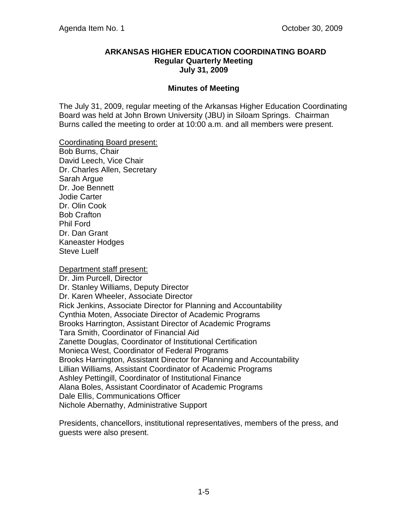#### **ARKANSAS HIGHER EDUCATION COORDINATING BOARD Regular Quarterly Meeting July 31, 2009**

### **Minutes of Meeting**

The July 31, 2009, regular meeting of the Arkansas Higher Education Coordinating Board was held at John Brown University (JBU) in Siloam Springs. Chairman Burns called the meeting to order at 10:00 a.m. and all members were present.

Coordinating Board present:

Bob Burns, Chair David Leech, Vice Chair Dr. Charles Allen, Secretary Sarah Argue Dr. Joe Bennett Jodie Carter Dr. Olin Cook Bob Crafton Phil Ford Dr. Dan Grant Kaneaster Hodges Steve Luelf

#### Department staff present:

Dr. Jim Purcell, Director Dr. Stanley Williams, Deputy Director Dr. Karen Wheeler, Associate Director Rick Jenkins, Associate Director for Planning and Accountability Cynthia Moten, Associate Director of Academic Programs Brooks Harrington, Assistant Director of Academic Programs Tara Smith, Coordinator of Financial Aid Zanette Douglas, Coordinator of Institutional Certification Monieca West, Coordinator of Federal Programs Brooks Harrington, Assistant Director for Planning and Accountability Lillian Williams, Assistant Coordinator of Academic Programs Ashley Pettingill, Coordinator of Institutional Finance Alana Boles, Assistant Coordinator of Academic Programs Dale Ellis, Communications Officer Nichole Abernathy, Administrative Support

Presidents, chancellors, institutional representatives, members of the press, and guests were also present.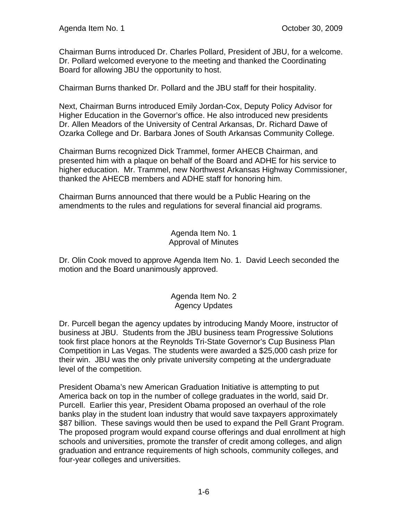Chairman Burns introduced Dr. Charles Pollard, President of JBU, for a welcome. Dr. Pollard welcomed everyone to the meeting and thanked the Coordinating Board for allowing JBU the opportunity to host.

Chairman Burns thanked Dr. Pollard and the JBU staff for their hospitality.

Next, Chairman Burns introduced Emily Jordan-Cox, Deputy Policy Advisor for Higher Education in the Governor's office. He also introduced new presidents Dr. Allen Meadors of the University of Central Arkansas, Dr. Richard Dawe of Ozarka College and Dr. Barbara Jones of South Arkansas Community College.

Chairman Burns recognized Dick Trammel, former AHECB Chairman, and presented him with a plaque on behalf of the Board and ADHE for his service to higher education. Mr. Trammel, new Northwest Arkansas Highway Commissioner, thanked the AHECB members and ADHE staff for honoring him.

Chairman Burns announced that there would be a Public Hearing on the amendments to the rules and regulations for several financial aid programs.

### Agenda Item No. 1 Approval of Minutes

Dr. Olin Cook moved to approve Agenda Item No. 1. David Leech seconded the motion and the Board unanimously approved.

### Agenda Item No. 2 Agency Updates

Dr. Purcell began the agency updates by introducing Mandy Moore, instructor of business at JBU. Students from the JBU business team Progressive Solutions took first place honors at the Reynolds Tri-State Governor's Cup Business Plan Competition in Las Vegas. The students were awarded a \$25,000 cash prize for their win. JBU was the only private university competing at the undergraduate level of the competition.

President Obama's new American Graduation Initiative is attempting to put America back on top in the number of college graduates in the world, said Dr. Purcell. Earlier this year, President Obama proposed an overhaul of the role banks play in the student loan industry that would save taxpayers approximately \$87 billion. These savings would then be used to expand the Pell Grant Program. The proposed program would expand course offerings and dual enrollment at high schools and universities, promote the transfer of credit among colleges, and align graduation and entrance requirements of high schools, community colleges, and four-year colleges and universities.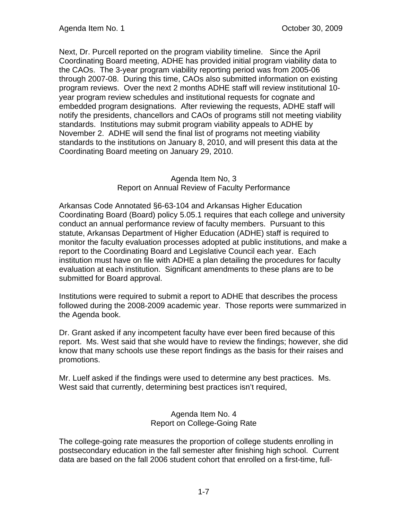Next, Dr. Purcell reported on the program viability timeline. Since the April Coordinating Board meeting, ADHE has provided initial program viability data to the CAOs. The 3-year program viability reporting period was from 2005-06 through 2007-08. During this time, CAOs also submitted information on existing program reviews. Over the next 2 months ADHE staff will review institutional 10 year program review schedules and institutional requests for cognate and embedded program designations. After reviewing the requests, ADHE staff will notify the presidents, chancellors and CAOs of programs still not meeting viability standards. Institutions may submit program viability appeals to ADHE by November 2. ADHE will send the final list of programs not meeting viability standards to the institutions on January 8, 2010, and will present this data at the Coordinating Board meeting on January 29, 2010.

## Agenda Item No, 3 Report on Annual Review of Faculty Performance

Arkansas Code Annotated §6-63-104 and Arkansas Higher Education Coordinating Board (Board) policy 5.05.1 requires that each college and university conduct an annual performance review of faculty members. Pursuant to this statute, Arkansas Department of Higher Education (ADHE) staff is required to monitor the faculty evaluation processes adopted at public institutions, and make a report to the Coordinating Board and Legislative Council each year. Each institution must have on file with ADHE a plan detailing the procedures for faculty evaluation at each institution. Significant amendments to these plans are to be submitted for Board approval.

Institutions were required to submit a report to ADHE that describes the process followed during the 2008-2009 academic year. Those reports were summarized in the Agenda book.

Dr. Grant asked if any incompetent faculty have ever been fired because of this report. Ms. West said that she would have to review the findings; however, she did know that many schools use these report findings as the basis for their raises and promotions.

Mr. Luelf asked if the findings were used to determine any best practices. Ms. West said that currently, determining best practices isn't required,

## Agenda Item No. 4 Report on College-Going Rate

The college-going rate measures the proportion of college students enrolling in postsecondary education in the fall semester after finishing high school. Current data are based on the fall 2006 student cohort that enrolled on a first-time, full-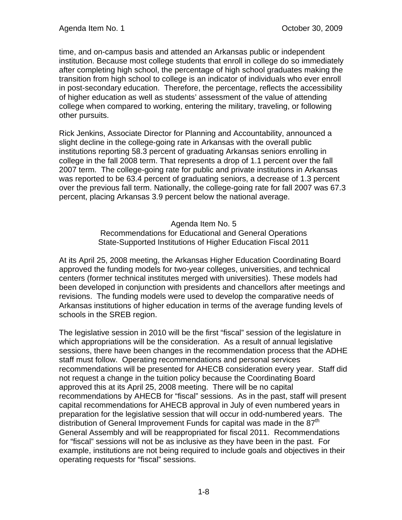time, and on-campus basis and attended an Arkansas public or independent institution. Because most college students that enroll in college do so immediately after completing high school, the percentage of high school graduates making the transition from high school to college is an indicator of individuals who ever enroll in post-secondary education. Therefore, the percentage, reflects the accessibility of higher education as well as students' assessment of the value of attending college when compared to working, entering the military, traveling, or following other pursuits.

Rick Jenkins, Associate Director for Planning and Accountability, announced a slight decline in the college-going rate in Arkansas with the overall public institutions reporting 58.3 percent of graduating Arkansas seniors enrolling in college in the fall 2008 term. That represents a drop of 1.1 percent over the fall 2007 term. The college-going rate for public and private institutions in Arkansas was reported to be 63.4 percent of graduating seniors, a decrease of 1.3 percent over the previous fall term. Nationally, the college-going rate for fall 2007 was 67.3 percent, placing Arkansas 3.9 percent below the national average.

Agenda Item No. 5

Recommendations for Educational and General Operations State-Supported Institutions of Higher Education Fiscal 2011

At its April 25, 2008 meeting, the Arkansas Higher Education Coordinating Board approved the funding models for two-year colleges, universities, and technical centers (former technical institutes merged with universities). These models had been developed in conjunction with presidents and chancellors after meetings and revisions. The funding models were used to develop the comparative needs of Arkansas institutions of higher education in terms of the average funding levels of schools in the SREB region.

The legislative session in 2010 will be the first "fiscal" session of the legislature in which appropriations will be the consideration. As a result of annual legislative sessions, there have been changes in the recommendation process that the ADHE staff must follow. Operating recommendations and personal services recommendations will be presented for AHECB consideration every year. Staff did not request a change in the tuition policy because the Coordinating Board approved this at its April 25, 2008 meeting. There will be no capital recommendations by AHECB for "fiscal" sessions. As in the past, staff will present capital recommendations for AHECB approval in July of even numbered years in preparation for the legislative session that will occur in odd-numbered years. The distribution of General Improvement Funds for capital was made in the 87<sup>th</sup> General Assembly and will be reappropriated for fiscal 2011. Recommendations for "fiscal" sessions will not be as inclusive as they have been in the past. For example, institutions are not being required to include goals and objectives in their operating requests for "fiscal" sessions.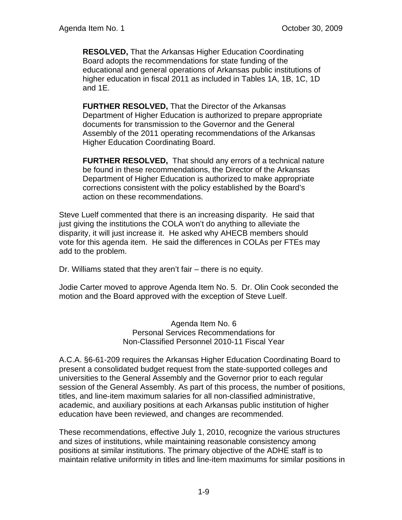**RESOLVED,** That the Arkansas Higher Education Coordinating Board adopts the recommendations for state funding of the educational and general operations of Arkansas public institutions of higher education in fiscal 2011 as included in Tables 1A, 1B, 1C, 1D and 1E.

**FURTHER RESOLVED,** That the Director of the Arkansas Department of Higher Education is authorized to prepare appropriate documents for transmission to the Governor and the General Assembly of the 2011 operating recommendations of the Arkansas Higher Education Coordinating Board.

**FURTHER RESOLVED,** That should any errors of a technical nature be found in these recommendations, the Director of the Arkansas Department of Higher Education is authorized to make appropriate corrections consistent with the policy established by the Board's action on these recommendations.

Steve Luelf commented that there is an increasing disparity. He said that just giving the institutions the COLA won't do anything to alleviate the disparity, it will just increase it. He asked why AHECB members should vote for this agenda item. He said the differences in COLAs per FTEs may add to the problem.

Dr. Williams stated that they aren't fair – there is no equity.

Jodie Carter moved to approve Agenda Item No. 5. Dr. Olin Cook seconded the motion and the Board approved with the exception of Steve Luelf.

> Agenda Item No. 6 Personal Services Recommendations for Non-Classified Personnel 2010-11 Fiscal Year

A.C.A. §6-61-209 requires the Arkansas Higher Education Coordinating Board to present a consolidated budget request from the state-supported colleges and universities to the General Assembly and the Governor prior to each regular session of the General Assembly. As part of this process, the number of positions, titles, and line-item maximum salaries for all non-classified administrative, academic, and auxiliary positions at each Arkansas public institution of higher education have been reviewed, and changes are recommended.

These recommendations, effective July 1, 2010, recognize the various structures and sizes of institutions, while maintaining reasonable consistency among positions at similar institutions. The primary objective of the ADHE staff is to maintain relative uniformity in titles and line-item maximums for similar positions in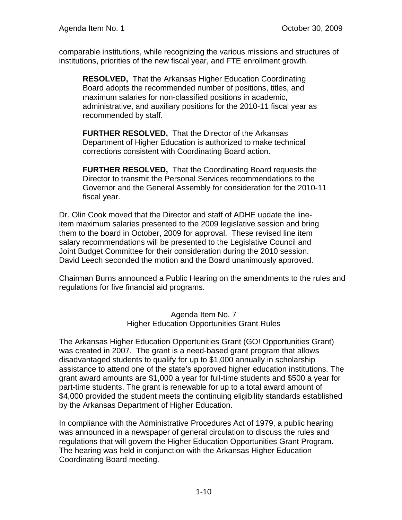comparable institutions, while recognizing the various missions and structures of institutions, priorities of the new fiscal year, and FTE enrollment growth.

**RESOLVED,** That the Arkansas Higher Education Coordinating Board adopts the recommended number of positions, titles, and maximum salaries for non-classified positions in academic, administrative, and auxiliary positions for the 2010-11 fiscal year as recommended by staff.

**FURTHER RESOLVED,** That the Director of the Arkansas Department of Higher Education is authorized to make technical corrections consistent with Coordinating Board action.

**FURTHER RESOLVED,** That the Coordinating Board requests the Director to transmit the Personal Services recommendations to the Governor and the General Assembly for consideration for the 2010-11 fiscal year.

Dr. Olin Cook moved that the Director and staff of ADHE update the lineitem maximum salaries presented to the 2009 legislative session and bring them to the board in October, 2009 for approval. These revised line item salary recommendations will be presented to the Legislative Council and Joint Budget Committee for their consideration during the 2010 session. David Leech seconded the motion and the Board unanimously approved.

Chairman Burns announced a Public Hearing on the amendments to the rules and regulations for five financial aid programs.

> Agenda Item No. 7 Higher Education Opportunities Grant Rules

The Arkansas Higher Education Opportunities Grant (GO! Opportunities Grant) was created in 2007. The grant is a need-based grant program that allows disadvantaged students to qualify for up to \$1,000 annually in scholarship assistance to attend one of the state's approved higher education institutions. The grant award amounts are \$1,000 a year for full-time students and \$500 a year for part-time students. The grant is renewable for up to a total award amount of \$4,000 provided the student meets the continuing eligibility standards established by the Arkansas Department of Higher Education.

In compliance with the Administrative Procedures Act of 1979, a public hearing was announced in a newspaper of general circulation to discuss the rules and regulations that will govern the Higher Education Opportunities Grant Program. The hearing was held in conjunction with the Arkansas Higher Education Coordinating Board meeting.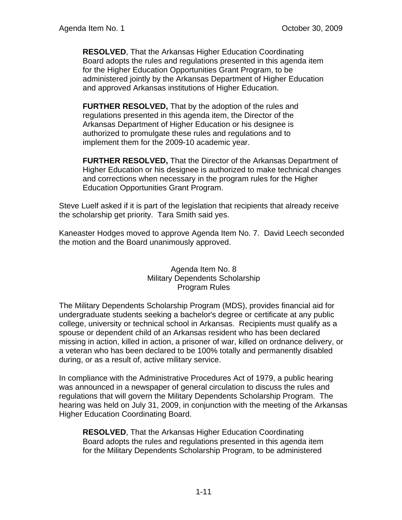**RESOLVED**, That the Arkansas Higher Education Coordinating Board adopts the rules and regulations presented in this agenda item for the Higher Education Opportunities Grant Program, to be administered jointly by the Arkansas Department of Higher Education and approved Arkansas institutions of Higher Education.

**FURTHER RESOLVED,** That by the adoption of the rules and regulations presented in this agenda item, the Director of the Arkansas Department of Higher Education or his designee is authorized to promulgate these rules and regulations and to implement them for the 2009-10 academic year.

**FURTHER RESOLVED,** That the Director of the Arkansas Department of Higher Education or his designee is authorized to make technical changes and corrections when necessary in the program rules for the Higher Education Opportunities Grant Program.

Steve Luelf asked if it is part of the legislation that recipients that already receive the scholarship get priority. Tara Smith said yes.

Kaneaster Hodges moved to approve Agenda Item No. 7. David Leech seconded the motion and the Board unanimously approved.

## Agenda Item No. 8 Military Dependents Scholarship Program Rules

The Military Dependents Scholarship Program (MDS), provides financial aid for undergraduate students seeking a bachelor's degree or certificate at any public college, university or technical school in Arkansas. Recipients must qualify as a spouse or dependent child of an Arkansas resident who has been declared missing in action, killed in action, a prisoner of war, killed on ordnance delivery, or a veteran who has been declared to be 100% totally and permanently disabled during, or as a result of, active military service.

In compliance with the Administrative Procedures Act of 1979, a public hearing was announced in a newspaper of general circulation to discuss the rules and regulations that will govern the Military Dependents Scholarship Program. The hearing was held on July 31, 2009, in conjunction with the meeting of the Arkansas Higher Education Coordinating Board.

**RESOLVED**, That the Arkansas Higher Education Coordinating Board adopts the rules and regulations presented in this agenda item for the Military Dependents Scholarship Program, to be administered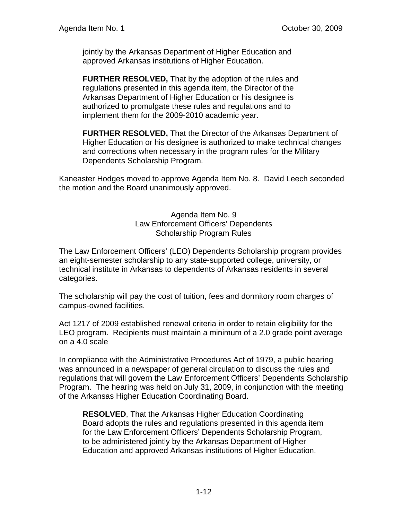jointly by the Arkansas Department of Higher Education and approved Arkansas institutions of Higher Education.

**FURTHER RESOLVED,** That by the adoption of the rules and regulations presented in this agenda item, the Director of the Arkansas Department of Higher Education or his designee is authorized to promulgate these rules and regulations and to implement them for the 2009-2010 academic year.

**FURTHER RESOLVED,** That the Director of the Arkansas Department of Higher Education or his designee is authorized to make technical changes and corrections when necessary in the program rules for the Military Dependents Scholarship Program.

Kaneaster Hodges moved to approve Agenda Item No. 8. David Leech seconded the motion and the Board unanimously approved.

> Agenda Item No. 9 Law Enforcement Officers' Dependents Scholarship Program Rules

The Law Enforcement Officers' (LEO) Dependents Scholarship program provides an eight-semester scholarship to any state-supported college, university, or technical institute in Arkansas to dependents of Arkansas residents in several categories.

The scholarship will pay the cost of tuition, fees and dormitory room charges of campus-owned facilities.

Act 1217 of 2009 established renewal criteria in order to retain eligibility for the LEO program. Recipients must maintain a minimum of a 2.0 grade point average on a 4.0 scale

In compliance with the Administrative Procedures Act of 1979, a public hearing was announced in a newspaper of general circulation to discuss the rules and regulations that will govern the Law Enforcement Officers' Dependents Scholarship Program. The hearing was held on July 31, 2009, in conjunction with the meeting of the Arkansas Higher Education Coordinating Board.

**RESOLVED**, That the Arkansas Higher Education Coordinating Board adopts the rules and regulations presented in this agenda item for the Law Enforcement Officers' Dependents Scholarship Program, to be administered jointly by the Arkansas Department of Higher Education and approved Arkansas institutions of Higher Education.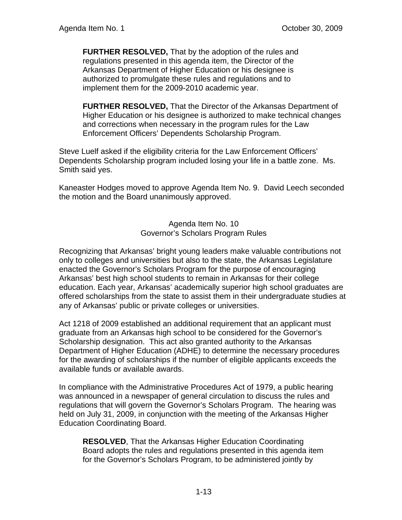**FURTHER RESOLVED,** That by the adoption of the rules and regulations presented in this agenda item, the Director of the Arkansas Department of Higher Education or his designee is authorized to promulgate these rules and regulations and to implement them for the 2009-2010 academic year.

**FURTHER RESOLVED,** That the Director of the Arkansas Department of Higher Education or his designee is authorized to make technical changes and corrections when necessary in the program rules for the Law Enforcement Officers' Dependents Scholarship Program.

Steve Luelf asked if the eligibility criteria for the Law Enforcement Officers' Dependents Scholarship program included losing your life in a battle zone. Ms. Smith said yes.

Kaneaster Hodges moved to approve Agenda Item No. 9. David Leech seconded the motion and the Board unanimously approved.

> Agenda Item No. 10 Governor's Scholars Program Rules

Recognizing that Arkansas' bright young leaders make valuable contributions not only to colleges and universities but also to the state, the Arkansas Legislature enacted the Governor's Scholars Program for the purpose of encouraging Arkansas' best high school students to remain in Arkansas for their college education. Each year, Arkansas' academically superior high school graduates are offered scholarships from the state to assist them in their undergraduate studies at any of Arkansas' public or private colleges or universities.

Act 1218 of 2009 established an additional requirement that an applicant must graduate from an Arkansas high school to be considered for the Governor's Scholarship designation. This act also granted authority to the Arkansas Department of Higher Education (ADHE) to determine the necessary procedures for the awarding of scholarships if the number of eligible applicants exceeds the available funds or available awards.

In compliance with the Administrative Procedures Act of 1979, a public hearing was announced in a newspaper of general circulation to discuss the rules and regulations that will govern the Governor's Scholars Program. The hearing was held on July 31, 2009, in conjunction with the meeting of the Arkansas Higher Education Coordinating Board.

**RESOLVED**, That the Arkansas Higher Education Coordinating Board adopts the rules and regulations presented in this agenda item for the Governor's Scholars Program, to be administered jointly by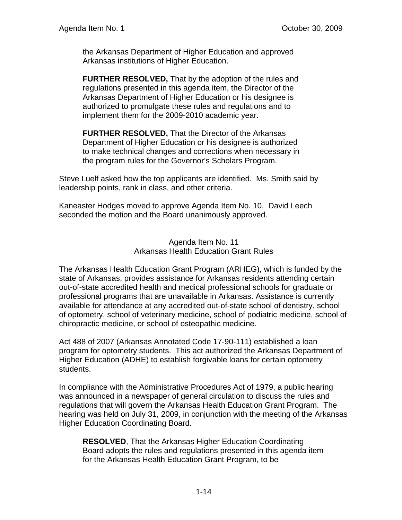the Arkansas Department of Higher Education and approved Arkansas institutions of Higher Education.

**FURTHER RESOLVED,** That by the adoption of the rules and regulations presented in this agenda item, the Director of the Arkansas Department of Higher Education or his designee is authorized to promulgate these rules and regulations and to implement them for the 2009-2010 academic year.

**FURTHER RESOLVED,** That the Director of the Arkansas Department of Higher Education or his designee is authorized to make technical changes and corrections when necessary in the program rules for the Governor's Scholars Program.

Steve Luelf asked how the top applicants are identified. Ms. Smith said by leadership points, rank in class, and other criteria.

Kaneaster Hodges moved to approve Agenda Item No. 10. David Leech seconded the motion and the Board unanimously approved.

> Agenda Item No. 11 Arkansas Health Education Grant Rules

The Arkansas Health Education Grant Program (ARHEG), which is funded by the state of Arkansas, provides assistance for Arkansas residents attending certain out-of-state accredited health and medical professional schools for graduate or professional programs that are unavailable in Arkansas. Assistance is currently available for attendance at any accredited out-of-state school of dentistry, school of optometry, school of veterinary medicine, school of podiatric medicine, school of chiropractic medicine, or school of osteopathic medicine.

Act 488 of 2007 (Arkansas Annotated Code 17-90-111) established a loan program for optometry students. This act authorized the Arkansas Department of Higher Education (ADHE) to establish forgivable loans for certain optometry students.

In compliance with the Administrative Procedures Act of 1979, a public hearing was announced in a newspaper of general circulation to discuss the rules and regulations that will govern the Arkansas Health Education Grant Program. The hearing was held on July 31, 2009, in conjunction with the meeting of the Arkansas Higher Education Coordinating Board.

**RESOLVED**, That the Arkansas Higher Education Coordinating Board adopts the rules and regulations presented in this agenda item for the Arkansas Health Education Grant Program, to be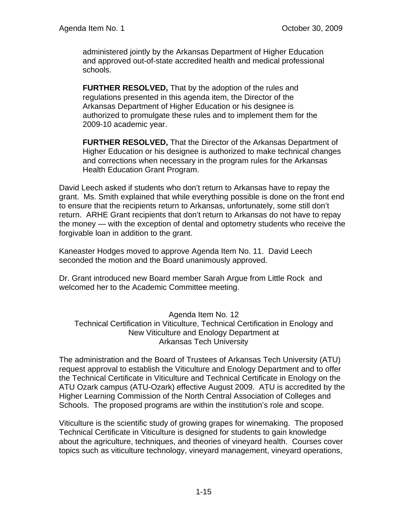administered jointly by the Arkansas Department of Higher Education and approved out-of-state accredited health and medical professional schools.

**FURTHER RESOLVED,** That by the adoption of the rules and regulations presented in this agenda item, the Director of the Arkansas Department of Higher Education or his designee is authorized to promulgate these rules and to implement them for the 2009-10 academic year.

**FURTHER RESOLVED,** That the Director of the Arkansas Department of Higher Education or his designee is authorized to make technical changes and corrections when necessary in the program rules for the Arkansas Health Education Grant Program.

David Leech asked if students who don't return to Arkansas have to repay the grant. Ms. Smith explained that while everything possible is done on the front end to ensure that the recipients return to Arkansas, unfortunately, some still don't return. ARHE Grant recipients that don't return to Arkansas do not have to repay the money — with the exception of dental and optometry students who receive the forgivable loan in addition to the grant.

Kaneaster Hodges moved to approve Agenda Item No. 11. David Leech seconded the motion and the Board unanimously approved.

Dr. Grant introduced new Board member Sarah Argue from Little Rock and welcomed her to the Academic Committee meeting.

Agenda Item No. 12 Technical Certification in Viticulture, Technical Certification in Enology and New Viticulture and Enology Department at Arkansas Tech University

The administration and the Board of Trustees of Arkansas Tech University (ATU) request approval to establish the Viticulture and Enology Department and to offer the Technical Certificate in Viticulture and Technical Certificate in Enology on the ATU Ozark campus (ATU-Ozark) effective August 2009. ATU is accredited by the Higher Learning Commission of the North Central Association of Colleges and Schools. The proposed programs are within the institution's role and scope.

Viticulture is the scientific study of growing grapes for winemaking. The proposed Technical Certificate in Viticulture is designed for students to gain knowledge about the agriculture, techniques, and theories of vineyard health. Courses cover topics such as viticulture technology, vineyard management, vineyard operations,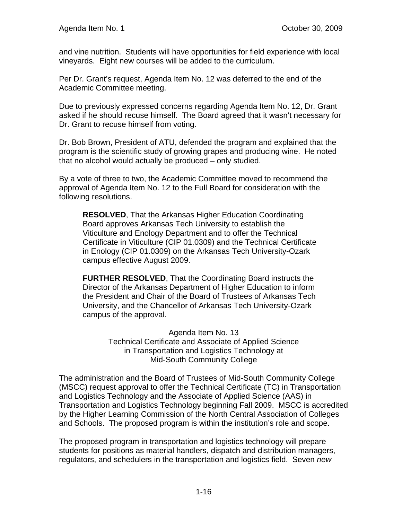and vine nutrition. Students will have opportunities for field experience with local vineyards. Eight new courses will be added to the curriculum.

Per Dr. Grant's request, Agenda Item No. 12 was deferred to the end of the Academic Committee meeting.

Due to previously expressed concerns regarding Agenda Item No. 12, Dr. Grant asked if he should recuse himself. The Board agreed that it wasn't necessary for Dr. Grant to recuse himself from voting.

Dr. Bob Brown, President of ATU, defended the program and explained that the program is the scientific study of growing grapes and producing wine. He noted that no alcohol would actually be produced – only studied.

By a vote of three to two, the Academic Committee moved to recommend the approval of Agenda Item No. 12 to the Full Board for consideration with the following resolutions.

**RESOLVED**, That the Arkansas Higher Education Coordinating Board approves Arkansas Tech University to establish the Viticulture and Enology Department and to offer the Technical Certificate in Viticulture (CIP 01.0309) and the Technical Certificate in Enology (CIP 01.0309) on the Arkansas Tech University-Ozark campus effective August 2009.

**FURTHER RESOLVED**, That the Coordinating Board instructs the Director of the Arkansas Department of Higher Education to inform the President and Chair of the Board of Trustees of Arkansas Tech University, and the Chancellor of Arkansas Tech University-Ozark campus of the approval.

> Agenda Item No. 13 Technical Certificate and Associate of Applied Science in Transportation and Logistics Technology at Mid-South Community College

The administration and the Board of Trustees of Mid-South Community College (MSCC) request approval to offer the Technical Certificate (TC) in Transportation and Logistics Technology and the Associate of Applied Science (AAS) in Transportation and Logistics Technology beginning Fall 2009. MSCC is accredited by the Higher Learning Commission of the North Central Association of Colleges and Schools. The proposed program is within the institution's role and scope.

The proposed program in transportation and logistics technology will prepare students for positions as material handlers, dispatch and distribution managers, regulators, and schedulers in the transportation and logistics field. Seven *new*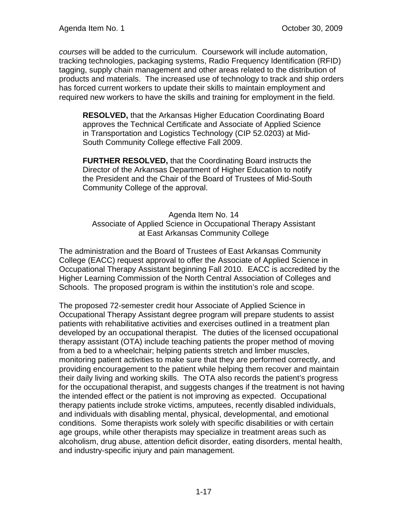*courses* will be added to the curriculum. Coursework will include automation, tracking technologies, packaging systems, Radio Frequency Identification (RFID) tagging, supply chain management and other areas related to the distribution of products and materials. The increased use of technology to track and ship orders has forced current workers to update their skills to maintain employment and required new workers to have the skills and training for employment in the field.

**RESOLVED,** that the Arkansas Higher Education Coordinating Board approves the Technical Certificate and Associate of Applied Science in Transportation and Logistics Technology (CIP 52.0203) at Mid-South Community College effective Fall 2009.

**FURTHER RESOLVED,** that the Coordinating Board instructs the Director of the Arkansas Department of Higher Education to notify the President and the Chair of the Board of Trustees of Mid-South Community College of the approval.

Agenda Item No. 14 Associate of Applied Science in Occupational Therapy Assistant at East Arkansas Community College

The administration and the Board of Trustees of East Arkansas Community College (EACC) request approval to offer the Associate of Applied Science in Occupational Therapy Assistant beginning Fall 2010. EACC is accredited by the Higher Learning Commission of the North Central Association of Colleges and Schools. The proposed program is within the institution's role and scope.

The proposed 72-semester credit hour Associate of Applied Science in Occupational Therapy Assistant degree program will prepare students to assist patients with rehabilitative activities and exercises outlined in a treatment plan developed by an occupational therapist. The duties of the licensed occupational therapy assistant (OTA) include teaching patients the proper method of moving from a bed to a wheelchair; helping patients stretch and limber muscles, monitoring patient activities to make sure that they are performed correctly, and providing encouragement to the patient while helping them recover and maintain their daily living and working skills. The OTA also records the patient's progress for the occupational therapist, and suggests changes if the treatment is not having the intended effect or the patient is not improving as expected. Occupational therapy patients include stroke victims, amputees, recently disabled individuals, and individuals with disabling mental, physical, developmental, and emotional conditions. Some therapists work solely with specific disabilities or with certain age groups, while other therapists may specialize in treatment areas such as alcoholism, drug abuse, attention deficit disorder, eating disorders, mental health, and industry-specific injury and pain management.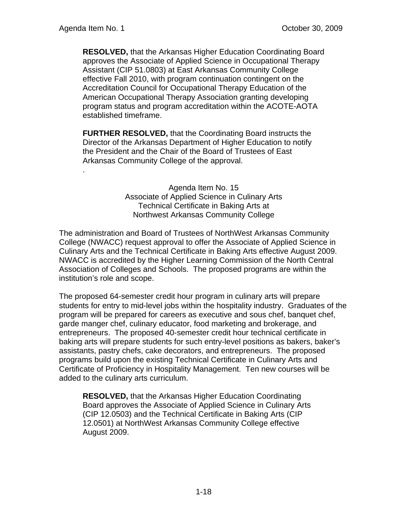.

**RESOLVED,** that the Arkansas Higher Education Coordinating Board approves the Associate of Applied Science in Occupational Therapy Assistant (CIP 51.0803) at East Arkansas Community College effective Fall 2010, with program continuation contingent on the Accreditation Council for Occupational Therapy Education of the American Occupational Therapy Association granting developing program status and program accreditation within the ACOTE-AOTA established timeframe.

**FURTHER RESOLVED,** that the Coordinating Board instructs the Director of the Arkansas Department of Higher Education to notify the President and the Chair of the Board of Trustees of East Arkansas Community College of the approval.

> Agenda Item No. 15 Associate of Applied Science in Culinary Arts Technical Certificate in Baking Arts at Northwest Arkansas Community College

The administration and Board of Trustees of NorthWest Arkansas Community College (NWACC) request approval to offer the Associate of Applied Science in Culinary Arts and the Technical Certificate in Baking Arts effective August 2009. NWACC is accredited by the Higher Learning Commission of the North Central Association of Colleges and Schools. The proposed programs are within the institution's role and scope.

The proposed 64-semester credit hour program in culinary arts will prepare students for entry to mid-level jobs within the hospitality industry. Graduates of the program will be prepared for careers as executive and sous chef, banquet chef, garde manger chef, culinary educator, food marketing and brokerage, and entrepreneurs. The proposed 40-semester credit hour technical certificate in baking arts will prepare students for such entry-level positions as bakers, baker's assistants, pastry chefs, cake decorators, and entrepreneurs. The proposed programs build upon the existing Technical Certificate in Culinary Arts and Certificate of Proficiency in Hospitality Management. Ten new courses will be added to the culinary arts curriculum.

**RESOLVED,** that the Arkansas Higher Education Coordinating Board approves the Associate of Applied Science in Culinary Arts (CIP 12.0503) and the Technical Certificate in Baking Arts (CIP 12.0501) at NorthWest Arkansas Community College effective August 2009.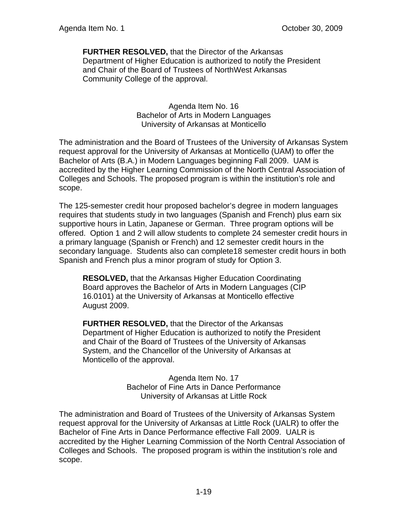**FURTHER RESOLVED,** that the Director of the Arkansas Department of Higher Education is authorized to notify the President and Chair of the Board of Trustees of NorthWest Arkansas Community College of the approval.

> Agenda Item No. 16 Bachelor of Arts in Modern Languages University of Arkansas at Monticello

The administration and the Board of Trustees of the University of Arkansas System request approval for the University of Arkansas at Monticello (UAM) to offer the Bachelor of Arts (B.A.) in Modern Languages beginning Fall 2009. UAM is accredited by the Higher Learning Commission of the North Central Association of Colleges and Schools. The proposed program is within the institution's role and scope.

The 125-semester credit hour proposed bachelor's degree in modern languages requires that students study in two languages (Spanish and French) plus earn six supportive hours in Latin, Japanese or German. Three program options will be offered. Option 1 and 2 will allow students to complete 24 semester credit hours in a primary language (Spanish or French) and 12 semester credit hours in the secondary language. Students also can complete18 semester credit hours in both Spanish and French plus a minor program of study for Option 3.

**RESOLVED,** that the Arkansas Higher Education Coordinating Board approves the Bachelor of Arts in Modern Languages (CIP 16.0101) at the University of Arkansas at Monticello effective August 2009.

**FURTHER RESOLVED,** that the Director of the Arkansas Department of Higher Education is authorized to notify the President and Chair of the Board of Trustees of the University of Arkansas System, and the Chancellor of the University of Arkansas at Monticello of the approval.

> Agenda Item No. 17 Bachelor of Fine Arts in Dance Performance University of Arkansas at Little Rock

The administration and Board of Trustees of the University of Arkansas System request approval for the University of Arkansas at Little Rock (UALR) to offer the Bachelor of Fine Arts in Dance Performance effective Fall 2009. UALR is accredited by the Higher Learning Commission of the North Central Association of Colleges and Schools. The proposed program is within the institution's role and scope.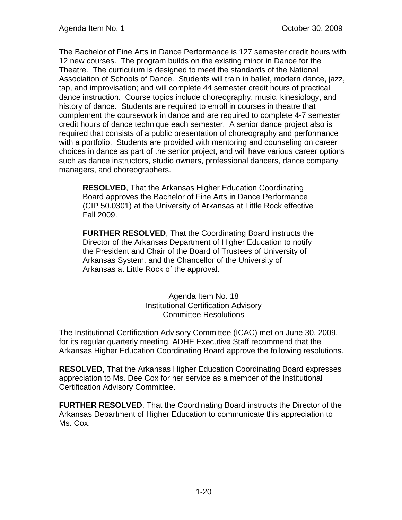The Bachelor of Fine Arts in Dance Performance is 127 semester credit hours with 12 new courses. The program builds on the existing minor in Dance for the Theatre. The curriculum is designed to meet the standards of the National Association of Schools of Dance. Students will train in ballet, modern dance, jazz, tap, and improvisation; and will complete 44 semester credit hours of practical dance instruction. Course topics include choreography, music, kinesiology, and history of dance. Students are required to enroll in courses in theatre that complement the coursework in dance and are required to complete 4-7 semester credit hours of dance technique each semester. A senior dance project also is required that consists of a public presentation of choreography and performance with a portfolio. Students are provided with mentoring and counseling on career choices in dance as part of the senior project, and will have various career options such as dance instructors, studio owners, professional dancers, dance company managers, and choreographers.

**RESOLVED**, That the Arkansas Higher Education Coordinating Board approves the Bachelor of Fine Arts in Dance Performance (CIP 50.0301) at the University of Arkansas at Little Rock effective Fall 2009.

**FURTHER RESOLVED**, That the Coordinating Board instructs the Director of the Arkansas Department of Higher Education to notify the President and Chair of the Board of Trustees of University of Arkansas System, and the Chancellor of the University of Arkansas at Little Rock of the approval.

> Agenda Item No. 18 Institutional Certification Advisory Committee Resolutions

The Institutional Certification Advisory Committee (ICAC) met on June 30, 2009, for its regular quarterly meeting. ADHE Executive Staff recommend that the Arkansas Higher Education Coordinating Board approve the following resolutions.

**RESOLVED**, That the Arkansas Higher Education Coordinating Board expresses appreciation to Ms. Dee Cox for her service as a member of the Institutional Certification Advisory Committee.

**FURTHER RESOLVED**, That the Coordinating Board instructs the Director of the Arkansas Department of Higher Education to communicate this appreciation to Ms. Cox.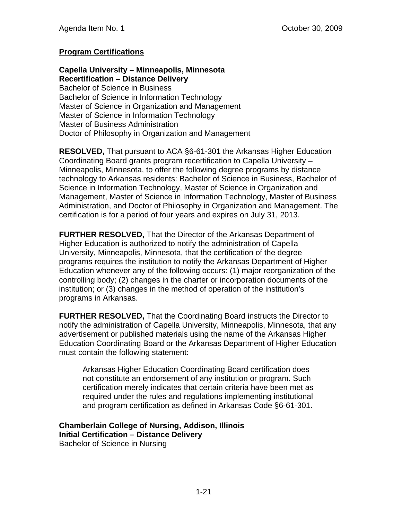# **Program Certifications**

**Capella University – Minneapolis, Minnesota Recertification – Distance Delivery**  Bachelor of Science in Business Bachelor of Science in Information Technology Master of Science in Organization and Management Master of Science in Information Technology Master of Business Administration Doctor of Philosophy in Organization and Management

**RESOLVED,** That pursuant to ACA §6-61-301 the Arkansas Higher Education Coordinating Board grants program recertification to Capella University – Minneapolis, Minnesota, to offer the following degree programs by distance technology to Arkansas residents: Bachelor of Science in Business, Bachelor of Science in Information Technology, Master of Science in Organization and Management, Master of Science in Information Technology, Master of Business Administration, and Doctor of Philosophy in Organization and Management. The certification is for a period of four years and expires on July 31, 2013.

**FURTHER RESOLVED,** That the Director of the Arkansas Department of Higher Education is authorized to notify the administration of Capella University, Minneapolis, Minnesota, that the certification of the degree programs requires the institution to notify the Arkansas Department of Higher Education whenever any of the following occurs: (1) major reorganization of the controlling body; (2) changes in the charter or incorporation documents of the institution; or (3) changes in the method of operation of the institution's programs in Arkansas.

**FURTHER RESOLVED,** That the Coordinating Board instructs the Director to notify the administration of Capella University, Minneapolis, Minnesota, that any advertisement or published materials using the name of the Arkansas Higher Education Coordinating Board or the Arkansas Department of Higher Education must contain the following statement:

Arkansas Higher Education Coordinating Board certification does not constitute an endorsement of any institution or program. Such certification merely indicates that certain criteria have been met as required under the rules and regulations implementing institutional and program certification as defined in Arkansas Code §6-61-301.

**Chamberlain College of Nursing, Addison, Illinois Initial Certification – Distance Delivery** 

Bachelor of Science in Nursing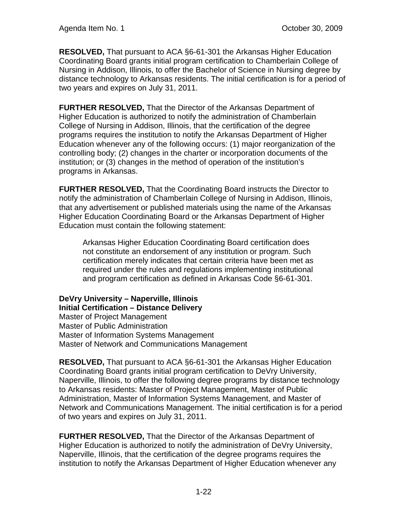**RESOLVED,** That pursuant to ACA §6-61-301 the Arkansas Higher Education Coordinating Board grants initial program certification to Chamberlain College of Nursing in Addison, Illinois, to offer the Bachelor of Science in Nursing degree by distance technology to Arkansas residents. The initial certification is for a period of two years and expires on July 31, 2011.

**FURTHER RESOLVED,** That the Director of the Arkansas Department of Higher Education is authorized to notify the administration of Chamberlain College of Nursing in Addison, Illinois, that the certification of the degree programs requires the institution to notify the Arkansas Department of Higher Education whenever any of the following occurs: (1) major reorganization of the controlling body; (2) changes in the charter or incorporation documents of the institution; or (3) changes in the method of operation of the institution's programs in Arkansas.

**FURTHER RESOLVED,** That the Coordinating Board instructs the Director to notify the administration of Chamberlain College of Nursing in Addison, Illinois, that any advertisement or published materials using the name of the Arkansas Higher Education Coordinating Board or the Arkansas Department of Higher Education must contain the following statement:

Arkansas Higher Education Coordinating Board certification does not constitute an endorsement of any institution or program. Such certification merely indicates that certain criteria have been met as required under the rules and regulations implementing institutional and program certification as defined in Arkansas Code §6-61-301.

**DeVry University – Naperville, Illinois Initial Certification – Distance Delivery**  Master of Project Management Master of Public Administration Master of Information Systems Management Master of Network and Communications Management

**RESOLVED,** That pursuant to ACA §6-61-301 the Arkansas Higher Education Coordinating Board grants initial program certification to DeVry University, Naperville, Illinois, to offer the following degree programs by distance technology to Arkansas residents: Master of Project Management, Master of Public Administration, Master of Information Systems Management, and Master of Network and Communications Management. The initial certification is for a period of two years and expires on July 31, 2011.

**FURTHER RESOLVED,** That the Director of the Arkansas Department of Higher Education is authorized to notify the administration of DeVry University, Naperville, Illinois, that the certification of the degree programs requires the institution to notify the Arkansas Department of Higher Education whenever any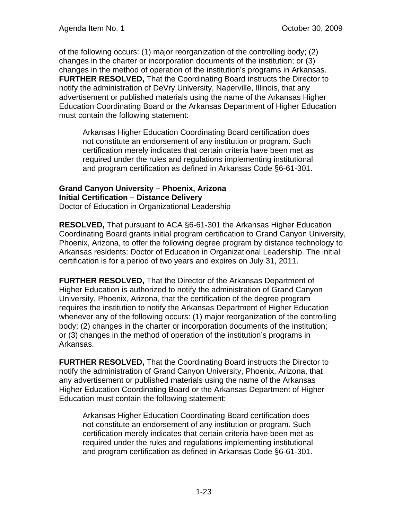of the following occurs: (1) major reorganization of the controlling body; (2) changes in the charter or incorporation documents of the institution; or (3) changes in the method of operation of the institution's programs in Arkansas. **FURTHER RESOLVED,** That the Coordinating Board instructs the Director to notify the administration of DeVry University, Naperville, Illinois, that any advertisement or published materials using the name of the Arkansas Higher Education Coordinating Board or the Arkansas Department of Higher Education must contain the following statement:

Arkansas Higher Education Coordinating Board certification does not constitute an endorsement of any institution or program. Such certification merely indicates that certain criteria have been met as required under the rules and regulations implementing institutional and program certification as defined in Arkansas Code §6-61-301.

### **Grand Canyon University – Phoenix, Arizona Initial Certification – Distance Delivery**  Doctor of Education in Organizational Leadership

**RESOLVED,** That pursuant to ACA §6-61-301 the Arkansas Higher Education Coordinating Board grants initial program certification to Grand Canyon University, Phoenix, Arizona, to offer the following degree program by distance technology to Arkansas residents: Doctor of Education in Organizational Leadership. The initial certification is for a period of two years and expires on July 31, 2011.

**FURTHER RESOLVED,** That the Director of the Arkansas Department of Higher Education is authorized to notify the administration of Grand Canyon University, Phoenix, Arizona, that the certification of the degree program requires the institution to notify the Arkansas Department of Higher Education whenever any of the following occurs: (1) major reorganization of the controlling body; (2) changes in the charter or incorporation documents of the institution; or (3) changes in the method of operation of the institution's programs in Arkansas.

**FURTHER RESOLVED,** That the Coordinating Board instructs the Director to notify the administration of Grand Canyon University, Phoenix, Arizona, that any advertisement or published materials using the name of the Arkansas Higher Education Coordinating Board or the Arkansas Department of Higher Education must contain the following statement:

Arkansas Higher Education Coordinating Board certification does not constitute an endorsement of any institution or program. Such certification merely indicates that certain criteria have been met as required under the rules and regulations implementing institutional and program certification as defined in Arkansas Code §6-61-301.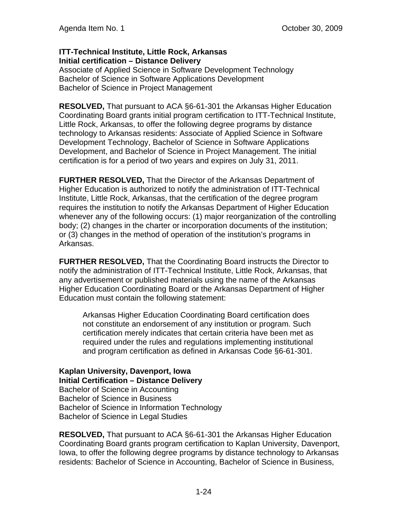## **ITT-Technical Institute, Little Rock, Arkansas Initial certification – Distance Delivery**

Associate of Applied Science in Software Development Technology Bachelor of Science in Software Applications Development Bachelor of Science in Project Management

**RESOLVED,** That pursuant to ACA §6-61-301 the Arkansas Higher Education Coordinating Board grants initial program certification to ITT-Technical Institute, Little Rock, Arkansas, to offer the following degree programs by distance technology to Arkansas residents: Associate of Applied Science in Software Development Technology, Bachelor of Science in Software Applications Development, and Bachelor of Science in Project Management. The initial certification is for a period of two years and expires on July 31, 2011.

**FURTHER RESOLVED,** That the Director of the Arkansas Department of Higher Education is authorized to notify the administration of ITT-Technical Institute, Little Rock, Arkansas, that the certification of the degree program requires the institution to notify the Arkansas Department of Higher Education whenever any of the following occurs: (1) major reorganization of the controlling body; (2) changes in the charter or incorporation documents of the institution; or (3) changes in the method of operation of the institution's programs in Arkansas.

**FURTHER RESOLVED,** That the Coordinating Board instructs the Director to notify the administration of ITT-Technical Institute, Little Rock, Arkansas, that any advertisement or published materials using the name of the Arkansas Higher Education Coordinating Board or the Arkansas Department of Higher Education must contain the following statement:

Arkansas Higher Education Coordinating Board certification does not constitute an endorsement of any institution or program. Such certification merely indicates that certain criteria have been met as required under the rules and regulations implementing institutional and program certification as defined in Arkansas Code §6-61-301.

**Kaplan University, Davenport, Iowa Initial Certification – Distance Delivery**  Bachelor of Science in Accounting Bachelor of Science in Business Bachelor of Science in Information Technology Bachelor of Science in Legal Studies

**RESOLVED,** That pursuant to ACA §6-61-301 the Arkansas Higher Education Coordinating Board grants program certification to Kaplan University, Davenport, Iowa, to offer the following degree programs by distance technology to Arkansas residents: Bachelor of Science in Accounting, Bachelor of Science in Business,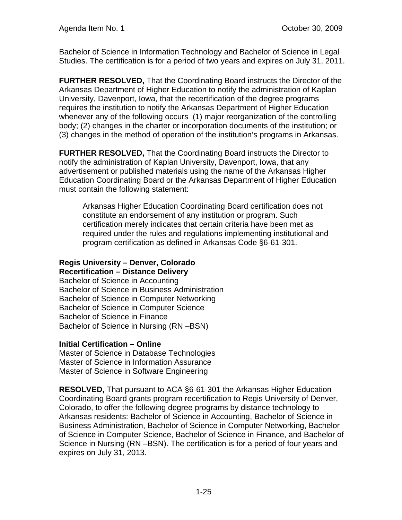Bachelor of Science in Information Technology and Bachelor of Science in Legal Studies. The certification is for a period of two years and expires on July 31, 2011.

**FURTHER RESOLVED,** That the Coordinating Board instructs the Director of the Arkansas Department of Higher Education to notify the administration of Kaplan University, Davenport, Iowa, that the recertification of the degree programs requires the institution to notify the Arkansas Department of Higher Education whenever any of the following occurs (1) major reorganization of the controlling body; (2) changes in the charter or incorporation documents of the institution; or (3) changes in the method of operation of the institution's programs in Arkansas.

**FURTHER RESOLVED,** That the Coordinating Board instructs the Director to notify the administration of Kaplan University, Davenport, Iowa, that any advertisement or published materials using the name of the Arkansas Higher Education Coordinating Board or the Arkansas Department of Higher Education must contain the following statement:

Arkansas Higher Education Coordinating Board certification does not constitute an endorsement of any institution or program. Such certification merely indicates that certain criteria have been met as required under the rules and regulations implementing institutional and program certification as defined in Arkansas Code §6-61-301.

#### **Regis University – Denver, Colorado Recertification – Distance Delivery**

Bachelor of Science in Accounting Bachelor of Science in Business Administration Bachelor of Science in Computer Networking Bachelor of Science in Computer Science Bachelor of Science in Finance Bachelor of Science in Nursing (RN –BSN)

## **Initial Certification – Online**

Master of Science in Database Technologies Master of Science in Information Assurance Master of Science in Software Engineering

**RESOLVED,** That pursuant to ACA §6-61-301 the Arkansas Higher Education Coordinating Board grants program recertification to Regis University of Denver, Colorado, to offer the following degree programs by distance technology to Arkansas residents: Bachelor of Science in Accounting, Bachelor of Science in Business Administration, Bachelor of Science in Computer Networking, Bachelor of Science in Computer Science, Bachelor of Science in Finance, and Bachelor of Science in Nursing (RN –BSN). The certification is for a period of four years and expires on July 31, 2013.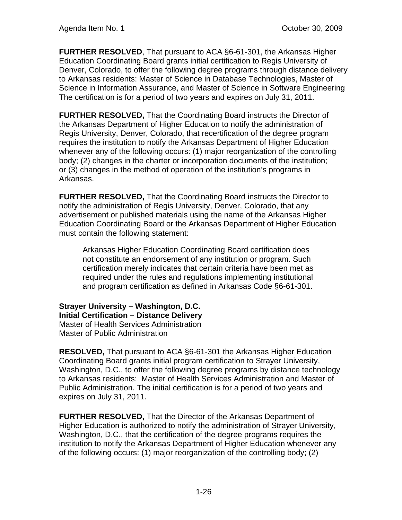**FURTHER RESOLVED**, That pursuant to ACA §6-61-301, the Arkansas Higher Education Coordinating Board grants initial certification to Regis University of Denver, Colorado, to offer the following degree programs through distance delivery to Arkansas residents: Master of Science in Database Technologies, Master of Science in Information Assurance, and Master of Science in Software Engineering The certification is for a period of two years and expires on July 31, 2011.

**FURTHER RESOLVED,** That the Coordinating Board instructs the Director of the Arkansas Department of Higher Education to notify the administration of Regis University, Denver, Colorado, that recertification of the degree program requires the institution to notify the Arkansas Department of Higher Education whenever any of the following occurs: (1) major reorganization of the controlling body; (2) changes in the charter or incorporation documents of the institution; or (3) changes in the method of operation of the institution's programs in Arkansas.

**FURTHER RESOLVED,** That the Coordinating Board instructs the Director to notify the administration of Regis University, Denver, Colorado, that any advertisement or published materials using the name of the Arkansas Higher Education Coordinating Board or the Arkansas Department of Higher Education must contain the following statement:

Arkansas Higher Education Coordinating Board certification does not constitute an endorsement of any institution or program. Such certification merely indicates that certain criteria have been met as required under the rules and regulations implementing institutional and program certification as defined in Arkansas Code §6-61-301.

**Strayer University – Washington, D.C. Initial Certification – Distance Delivery**  Master of Health Services Administration Master of Public Administration

**RESOLVED,** That pursuant to ACA §6-61-301 the Arkansas Higher Education Coordinating Board grants initial program certification to Strayer University, Washington, D.C., to offer the following degree programs by distance technology to Arkansas residents: Master of Health Services Administration and Master of Public Administration. The initial certification is for a period of two years and expires on July 31, 2011.

**FURTHER RESOLVED,** That the Director of the Arkansas Department of Higher Education is authorized to notify the administration of Strayer University, Washington, D.C., that the certification of the degree programs requires the institution to notify the Arkansas Department of Higher Education whenever any of the following occurs: (1) major reorganization of the controlling body; (2)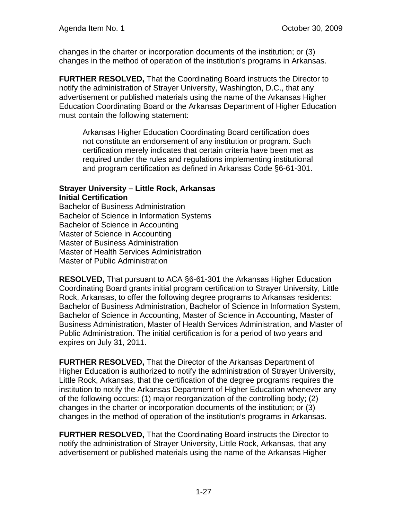changes in the charter or incorporation documents of the institution; or (3) changes in the method of operation of the institution's programs in Arkansas.

**FURTHER RESOLVED,** That the Coordinating Board instructs the Director to notify the administration of Strayer University, Washington, D.C., that any advertisement or published materials using the name of the Arkansas Higher Education Coordinating Board or the Arkansas Department of Higher Education must contain the following statement:

Arkansas Higher Education Coordinating Board certification does not constitute an endorsement of any institution or program. Such certification merely indicates that certain criteria have been met as required under the rules and regulations implementing institutional and program certification as defined in Arkansas Code §6-61-301.

# **Strayer University – Little Rock, Arkansas Initial Certification**

Bachelor of Business Administration Bachelor of Science in Information Systems Bachelor of Science in Accounting Master of Science in Accounting Master of Business Administration Master of Health Services Administration Master of Public Administration

**RESOLVED,** That pursuant to ACA §6-61-301 the Arkansas Higher Education Coordinating Board grants initial program certification to Strayer University, Little Rock, Arkansas, to offer the following degree programs to Arkansas residents: Bachelor of Business Administration, Bachelor of Science in Information System, Bachelor of Science in Accounting, Master of Science in Accounting, Master of Business Administration, Master of Health Services Administration, and Master of Public Administration. The initial certification is for a period of two years and expires on July 31, 2011.

**FURTHER RESOLVED,** That the Director of the Arkansas Department of Higher Education is authorized to notify the administration of Strayer University, Little Rock, Arkansas, that the certification of the degree programs requires the institution to notify the Arkansas Department of Higher Education whenever any of the following occurs: (1) major reorganization of the controlling body; (2) changes in the charter or incorporation documents of the institution; or (3) changes in the method of operation of the institution's programs in Arkansas.

**FURTHER RESOLVED,** That the Coordinating Board instructs the Director to notify the administration of Strayer University, Little Rock, Arkansas, that any advertisement or published materials using the name of the Arkansas Higher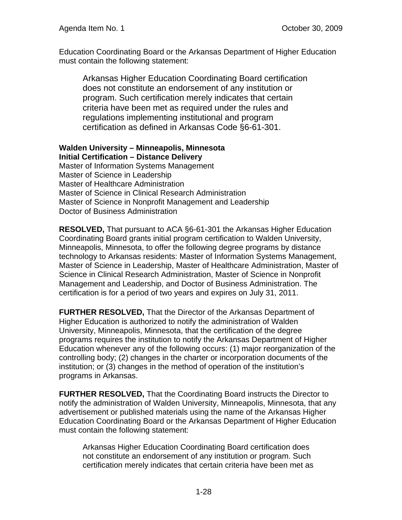Education Coordinating Board or the Arkansas Department of Higher Education must contain the following statement:

Arkansas Higher Education Coordinating Board certification does not constitute an endorsement of any institution or program. Such certification merely indicates that certain criteria have been met as required under the rules and regulations implementing institutional and program certification as defined in Arkansas Code §6-61-301.

# **Walden University – Minneapolis, Minnesota Initial Certification – Distance Delivery**

Master of Information Systems Management Master of Science in Leadership Master of Healthcare Administration Master of Science in Clinical Research Administration Master of Science in Nonprofit Management and Leadership Doctor of Business Administration

**RESOLVED,** That pursuant to ACA §6-61-301 the Arkansas Higher Education Coordinating Board grants initial program certification to Walden University, Minneapolis, Minnesota, to offer the following degree programs by distance technology to Arkansas residents: Master of Information Systems Management, Master of Science in Leadership, Master of Healthcare Administration, Master of Science in Clinical Research Administration, Master of Science in Nonprofit Management and Leadership, and Doctor of Business Administration. The certification is for a period of two years and expires on July 31, 2011.

**FURTHER RESOLVED,** That the Director of the Arkansas Department of Higher Education is authorized to notify the administration of Walden University, Minneapolis, Minnesota, that the certification of the degree programs requires the institution to notify the Arkansas Department of Higher Education whenever any of the following occurs: (1) major reorganization of the controlling body; (2) changes in the charter or incorporation documents of the institution; or (3) changes in the method of operation of the institution's programs in Arkansas.

**FURTHER RESOLVED,** That the Coordinating Board instructs the Director to notify the administration of Walden University, Minneapolis, Minnesota, that any advertisement or published materials using the name of the Arkansas Higher Education Coordinating Board or the Arkansas Department of Higher Education must contain the following statement:

Arkansas Higher Education Coordinating Board certification does not constitute an endorsement of any institution or program. Such certification merely indicates that certain criteria have been met as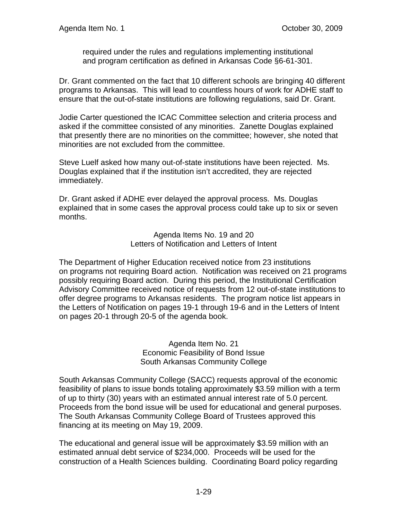required under the rules and regulations implementing institutional and program certification as defined in Arkansas Code §6-61-301.

Dr. Grant commented on the fact that 10 different schools are bringing 40 different programs to Arkansas. This will lead to countless hours of work for ADHE staff to ensure that the out-of-state institutions are following regulations, said Dr. Grant.

Jodie Carter questioned the ICAC Committee selection and criteria process and asked if the committee consisted of any minorities. Zanette Douglas explained that presently there are no minorities on the committee; however, she noted that minorities are not excluded from the committee.

Steve Luelf asked how many out-of-state institutions have been rejected. Ms. Douglas explained that if the institution isn't accredited, they are rejected immediately.

Dr. Grant asked if ADHE ever delayed the approval process. Ms. Douglas explained that in some cases the approval process could take up to six or seven months.

> Agenda Items No. 19 and 20 Letters of Notification and Letters of Intent

The Department of Higher Education received notice from 23 institutions on programs not requiring Board action. Notification was received on 21 programs possibly requiring Board action. During this period, the Institutional Certification Advisory Committee received notice of requests from 12 out-of-state institutions to offer degree programs to Arkansas residents. The program notice list appears in the Letters of Notification on pages 19-1 through 19-6 and in the Letters of Intent on pages 20-1 through 20-5 of the agenda book.

> Agenda Item No. 21 Economic Feasibility of Bond Issue South Arkansas Community College

South Arkansas Community College (SACC) requests approval of the economic feasibility of plans to issue bonds totaling approximately \$3.59 million with a term of up to thirty (30) years with an estimated annual interest rate of 5.0 percent. Proceeds from the bond issue will be used for educational and general purposes. The South Arkansas Community College Board of Trustees approved this financing at its meeting on May 19, 2009.

The educational and general issue will be approximately \$3.59 million with an estimated annual debt service of \$234,000. Proceeds will be used for the construction of a Health Sciences building. Coordinating Board policy regarding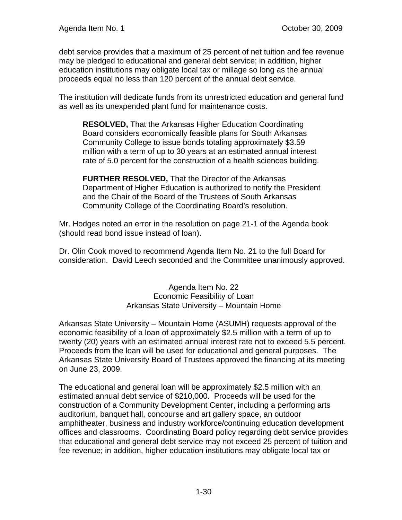debt service provides that a maximum of 25 percent of net tuition and fee revenue may be pledged to educational and general debt service; in addition, higher education institutions may obligate local tax or millage so long as the annual proceeds equal no less than 120 percent of the annual debt service.

The institution will dedicate funds from its unrestricted education and general fund as well as its unexpended plant fund for maintenance costs.

**RESOLVED,** That the Arkansas Higher Education Coordinating Board considers economically feasible plans for South Arkansas Community College to issue bonds totaling approximately \$3.59 million with a term of up to 30 years at an estimated annual interest rate of 5.0 percent for the construction of a health sciences building.

**FURTHER RESOLVED,** That the Director of the Arkansas Department of Higher Education is authorized to notify the President and the Chair of the Board of the Trustees of South Arkansas Community College of the Coordinating Board's resolution.

Mr. Hodges noted an error in the resolution on page 21-1 of the Agenda book (should read bond issue instead of loan).

Dr. Olin Cook moved to recommend Agenda Item No. 21 to the full Board for consideration. David Leech seconded and the Committee unanimously approved.

> Agenda Item No. 22 Economic Feasibility of Loan Arkansas State University – Mountain Home

Arkansas State University – Mountain Home (ASUMH) requests approval of the economic feasibility of a loan of approximately \$2.5 million with a term of up to twenty (20) years with an estimated annual interest rate not to exceed 5.5 percent. Proceeds from the loan will be used for educational and general purposes. The Arkansas State University Board of Trustees approved the financing at its meeting on June 23, 2009.

The educational and general loan will be approximately \$2.5 million with an estimated annual debt service of \$210,000. Proceeds will be used for the construction of a Community Development Center, including a performing arts auditorium, banquet hall, concourse and art gallery space, an outdoor amphitheater, business and industry workforce/continuing education development offices and classrooms. Coordinating Board policy regarding debt service provides that educational and general debt service may not exceed 25 percent of tuition and fee revenue; in addition, higher education institutions may obligate local tax or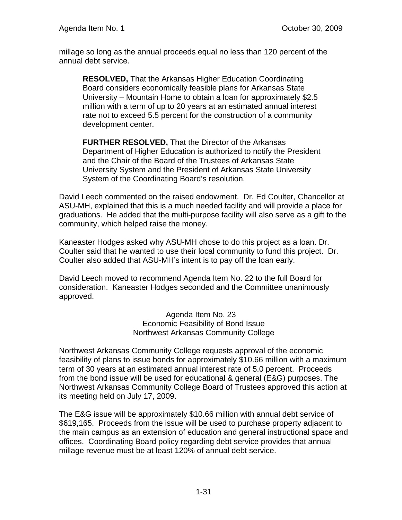millage so long as the annual proceeds equal no less than 120 percent of the annual debt service.

**RESOLVED,** That the Arkansas Higher Education Coordinating Board considers economically feasible plans for Arkansas State University – Mountain Home to obtain a loan for approximately \$2.5 million with a term of up to 20 years at an estimated annual interest rate not to exceed 5.5 percent for the construction of a community development center.

**FURTHER RESOLVED,** That the Director of the Arkansas Department of Higher Education is authorized to notify the President and the Chair of the Board of the Trustees of Arkansas State University System and the President of Arkansas State University System of the Coordinating Board's resolution.

David Leech commented on the raised endowment. Dr. Ed Coulter, Chancellor at ASU-MH, explained that this is a much needed facility and will provide a place for graduations. He added that the multi-purpose facility will also serve as a gift to the community, which helped raise the money.

Kaneaster Hodges asked why ASU-MH chose to do this project as a loan. Dr. Coulter said that he wanted to use their local community to fund this project. Dr. Coulter also added that ASU-MH's intent is to pay off the loan early.

David Leech moved to recommend Agenda Item No. 22 to the full Board for consideration. Kaneaster Hodges seconded and the Committee unanimously approved.

> Agenda Item No. 23 Economic Feasibility of Bond Issue Northwest Arkansas Community College

Northwest Arkansas Community College requests approval of the economic feasibility of plans to issue bonds for approximately \$10.66 million with a maximum term of 30 years at an estimated annual interest rate of 5.0 percent. Proceeds from the bond issue will be used for educational & general (E&G) purposes. The Northwest Arkansas Community College Board of Trustees approved this action at its meeting held on July 17, 2009.

The E&G issue will be approximately \$10.66 million with annual debt service of \$619,165. Proceeds from the issue will be used to purchase property adjacent to the main campus as an extension of education and general instructional space and offices. Coordinating Board policy regarding debt service provides that annual millage revenue must be at least 120% of annual debt service.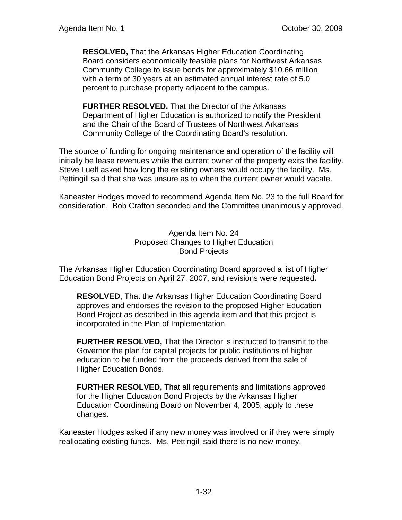**RESOLVED,** That the Arkansas Higher Education Coordinating Board considers economically feasible plans for Northwest Arkansas Community College to issue bonds for approximately \$10.66 million with a term of 30 years at an estimated annual interest rate of 5.0 percent to purchase property adjacent to the campus.

**FURTHER RESOLVED,** That the Director of the Arkansas Department of Higher Education is authorized to notify the President and the Chair of the Board of Trustees of Northwest Arkansas Community College of the Coordinating Board's resolution.

The source of funding for ongoing maintenance and operation of the facility will initially be lease revenues while the current owner of the property exits the facility. Steve Luelf asked how long the existing owners would occupy the facility. Ms. Pettingill said that she was unsure as to when the current owner would vacate.

Kaneaster Hodges moved to recommend Agenda Item No. 23 to the full Board for consideration. Bob Crafton seconded and the Committee unanimously approved.

> Agenda Item No. 24 Proposed Changes to Higher Education Bond Projects

The Arkansas Higher Education Coordinating Board approved a list of Higher Education Bond Projects on April 27, 2007, and revisions were requested**.** 

**RESOLVED**, That the Arkansas Higher Education Coordinating Board approves and endorses the revision to the proposed Higher Education Bond Project as described in this agenda item and that this project is incorporated in the Plan of Implementation.

**FURTHER RESOLVED,** That the Director is instructed to transmit to the Governor the plan for capital projects for public institutions of higher education to be funded from the proceeds derived from the sale of Higher Education Bonds.

**FURTHER RESOLVED,** That all requirements and limitations approved for the Higher Education Bond Projects by the Arkansas Higher Education Coordinating Board on November 4, 2005, apply to these changes.

Kaneaster Hodges asked if any new money was involved or if they were simply reallocating existing funds. Ms. Pettingill said there is no new money.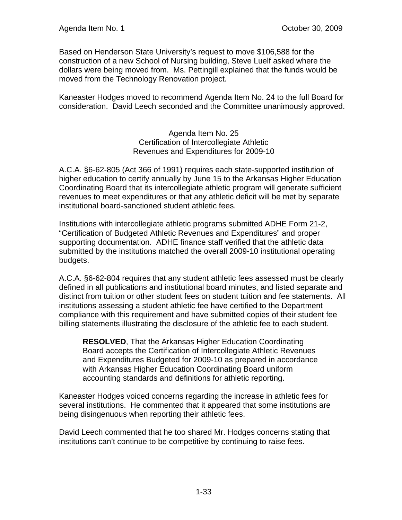Based on Henderson State University's request to move \$106,588 for the construction of a new School of Nursing building, Steve Luelf asked where the dollars were being moved from. Ms. Pettingill explained that the funds would be moved from the Technology Renovation project.

Kaneaster Hodges moved to recommend Agenda Item No. 24 to the full Board for consideration. David Leech seconded and the Committee unanimously approved.

> Agenda Item No. 25 Certification of Intercollegiate Athletic Revenues and Expenditures for 2009-10

A.C.A. §6-62-805 (Act 366 of 1991) requires each state-supported institution of higher education to certify annually by June 15 to the Arkansas Higher Education Coordinating Board that its intercollegiate athletic program will generate sufficient revenues to meet expenditures or that any athletic deficit will be met by separate institutional board-sanctioned student athletic fees.

Institutions with intercollegiate athletic programs submitted ADHE Form 21-2, "Certification of Budgeted Athletic Revenues and Expenditures" and proper supporting documentation. ADHE finance staff verified that the athletic data submitted by the institutions matched the overall 2009-10 institutional operating budgets.

A.C.A. §6-62-804 requires that any student athletic fees assessed must be clearly defined in all publications and institutional board minutes, and listed separate and distinct from tuition or other student fees on student tuition and fee statements. All institutions assessing a student athletic fee have certified to the Department compliance with this requirement and have submitted copies of their student fee billing statements illustrating the disclosure of the athletic fee to each student.

**RESOLVED**, That the Arkansas Higher Education Coordinating Board accepts the Certification of Intercollegiate Athletic Revenues and Expenditures Budgeted for 2009-10 as prepared in accordance with Arkansas Higher Education Coordinating Board uniform accounting standards and definitions for athletic reporting.

Kaneaster Hodges voiced concerns regarding the increase in athletic fees for several institutions. He commented that it appeared that some institutions are being disingenuous when reporting their athletic fees.

David Leech commented that he too shared Mr. Hodges concerns stating that institutions can't continue to be competitive by continuing to raise fees.